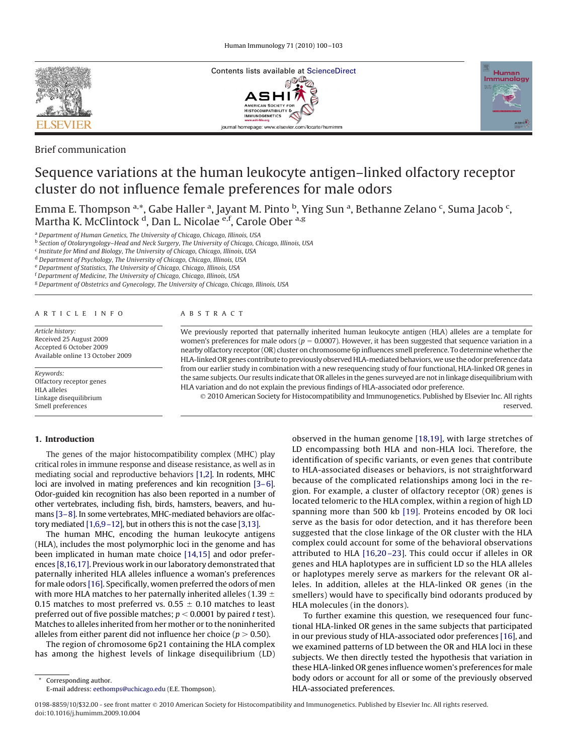

Brief communication

# Contents lists available at [ScienceDirect](http://www.sciencedirect.com/science/journal/01678809/)<br>  $\mathbb{CP}^{\mathbb{CP}}$ ASHI HISTOCOMPATIBILI journal homepage: www.elsevier.com/locate/humimm



# Sequence variations at the human leukocyte antigen–linked olfactory receptor cluster do not influence female preferences for male odors

Emma E. Thompson <sup>a,\*</sup>, Gabe Haller <sup>a</sup>, Jayant M. Pinto <sup>b</sup>, Ying Sun <sup>a</sup>, Bethanne Zelano <sup>c</sup>, Suma Jacob <sup>c</sup>, Martha K. McClintock <sup>d</sup>, Dan L. Nicolae <sup>e,f</sup>, Carole Ober <sup>a,g</sup>

<sup>a</sup> *Department of Human Genetics, The University of Chicago, Chicago, Illinois, USA*

<sup>b</sup> *Section of Otolaryngology–Head and Neck Surgery, The University of Chicago, Chicago, Illinois, USA*

<sup>c</sup> *Institute for Mind and Biology, The University of Chicago, Chicago, Illinois, USA*

<sup>d</sup> *Department of Psychology, The University of Chicago, Chicago, Illinois, USA*

<sup>e</sup> *Department of Statistics, The University of Chicago, Chicago, Illinois, USA*

<sup>f</sup> *Department of Medicine, The University of Chicago, Chicago, Illinois, USA*

<sup>g</sup> *Department of Obstetrics and Gynecology, The University of Chicago, Chicago, Illinois, USA*

#### ARTICLE INFO

*Article history:* Received 25 August 2009 Accepted 6 October 2009 Available online 13 October 2009

*Keywords:* Olfactory receptor genes HLA alleles Linkage disequilibrium Smell preferences

# **1. Introduction**

# The genes of the major histocompatibility complex (MHC) play critical roles in immune response and disease resistance, as well as in mediating social and reproductive behaviors [\[1,2\].](#page-3-0) In rodents, MHC loci are involved in mating preferences and kin recognition [\[3–6\].](#page-3-0) Odor-guided kin recognition has also been reported in a number of other vertebrates, including fish, birds, hamsters, beavers, and humans [\[3–8\].](#page-3-0) In some vertebrates, MHC-mediated behaviors are olfactory mediated [\[1,6,9–12\],](#page-3-0) but in others this is not the case [\[3,13\].](#page-3-0)

The human MHC, encoding the human leukocyte antigens (HLA), includes the most polymorphic loci in the genome and has been implicated in human mate choice [\[14,15\]](#page-3-0) and odor preferences [\[8,16,17\].](#page-3-0) Previous work in our laboratory demonstrated that paternally inherited HLA alleles influence a woman's preferences for male odors [\[16\].](#page-3-0) Specifically, women preferred the odors of men with more HLA matches to her paternally inherited alleles (1.39  $\pm$ 0.15 matches to most preferred vs. 0.55  $\pm$  0.10 matches to least preferred out of five possible matches;  $p < 0.0001$  by paired *t* test). Matches to alleles inherited from her mother or to the noninherited alleles from either parent did not influence her choice ( $p > 0.50$ ).

The region of chromosome 6p21 containing the HLA complex has among the highest levels of linkage disequilibrium (LD)

Corresponding author. E-mail address: [eethomps@uchicago.edu](mailto:eethomps@uchicago.edu) (E.E. Thompson).

### ABSTRACT

We previously reported that paternally inherited human leukocyte antigen (HLA) alleles are a template for women's preferences for male odors ( $p = 0.0007$ ). However, it has been suggested that sequence variation in a nearby olfactory receptor (OR) cluster on chromosome 6p influences smell preference. To determine whether the HLA-linked OR genes contribute to previously observed HLA-mediated behaviors, we use the odor preference data from our earlier study in combination with a new resequencing study of four functional, HLA-linked OR genes in the same subjects. Our results indicate that OR alleles in the genes surveyed are not in linkage disequilibrium with HLA variation and do not explain the previous findings of HLA-associated odor preference.

 2010 American Society for Histocompatibility and Immunogenetics. Published by Elsevier Inc. All rights reserved.

> observed in the human genome [\[18,19\],](#page-3-0) with large stretches of LD encompassing both HLA and non-HLA loci. Therefore, the identification of specific variants, or even genes that contribute to HLA-associated diseases or behaviors, is not straightforward because of the complicated relationships among loci in the region. For example, a cluster of olfactory receptor (OR) genes is located telomeric to the HLA complex, within a region of high LD spanning more than 500 kb [\[19\].](#page-3-0) Proteins encoded by OR loci serve as the basis for odor detection, and it has therefore been suggested that the close linkage of the OR cluster with the HLA complex could account for some of the behavioral observations attributed to HLA [\[16,20 –23\].](#page-3-0) This could occur if alleles in OR genes and HLA haplotypes are in sufficient LD so the HLA alleles or haplotypes merely serve as markers for the relevant OR alleles. In addition, alleles at the HLA-linked OR genes (in the smellers) would have to specifically bind odorants produced by HLA molecules (in the donors).

> To further examine this question, we resequenced four functional HLA-linked OR genes in the same subjects that participated in our previous study of HLA-associated odor preferences [\[16\],](#page-3-0) and we examined patterns of LD between the OR and HLA loci in these subjects. We then directly tested the hypothesis that variation in these HLA-linked OR genes influence women's preferences for male body odors or account for all or some of the previously observed HLA-associated preferences.

0198-8859/10/\$32.00 - see front matter @ 2010 American Society for Histocompatibility and Immunogenetics. Published by Elsevier Inc. All rights reserved. doi:10.1016/j.humimm.2009.10.004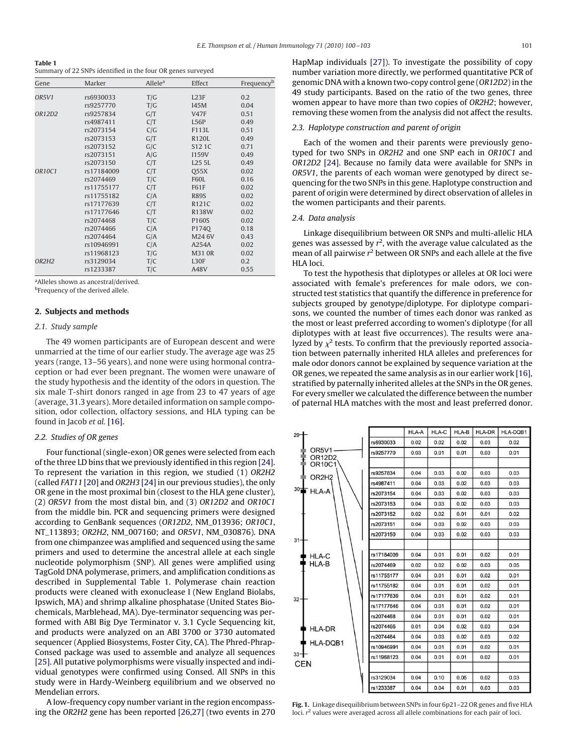<span id="page-1-0"></span>

| Table 1                                                     |  |
|-------------------------------------------------------------|--|
| Summary of 22 SNPs identified in the four OR genes surveyed |  |

| Gene   | Marker     | Allele <sup>a</sup> | Effect        | Frequencyb |
|--------|------------|---------------------|---------------|------------|
| OR5V1  | rs6930033  | T/G                 | L23F          | 0.2        |
|        | rs9257770  | T/G                 | <b>I45M</b>   | 0.04       |
| OR12D2 | rs9257834  | G/T                 | <b>V47F</b>   | 0.51       |
|        | rs4987411  | C/T                 | L56P          | 0.49       |
|        | rs2073154  | C/G                 | F113L         | 0.51       |
|        | rs2073153  | G/T                 | <b>R120L</b>  | 0.49       |
|        | rs2073152  | G/C                 | S12 1C        | 0.71       |
|        | rs2073151  | A/G                 | I159V         | 0.49       |
|        | rs2073150  | C/T                 | L25 5L        | 0.49       |
| OR10C1 | rs17184009 | C/T                 | 055X          | 0.02       |
|        | rs2074469  | T/C                 | <b>F60L</b>   | 0.16       |
|        | rs11755177 | C/T                 | <b>F61F</b>   | 0.02       |
|        | rs11755182 | C/A                 | <b>R89S</b>   | 0.02       |
|        | rs17177639 | C/T                 | R121C         | 0.02       |
|        | rs17177646 | C/T                 | R138W         | 0.02       |
|        | rs2074468  | T/C                 | P160S         | 0.02       |
|        | rs2074466  | C/A                 | P1740         | 0.18       |
|        | rs2074464  | G/A                 | M24 6V        | 0.43       |
|        | rs10946991 | C/A                 | A254A         | 0.02       |
|        | rs11968123 | T/G                 | <b>M31 OR</b> | 0.02       |
| OR2H2  | rs3129034  | T/C                 | L30F          | 0.2        |
|        | rs1233387  | T/C                 | A48V          | 0.55       |

aAlleles shown as ancestral/derived.

<sup>b</sup>Frequency of the derived allele.

# **2. Subjects and methods**

#### *2.1. Study sample*

The 49 women participants are of European descent and were unmarried at the time of our earlier study. The average age was 25 years (range, 13–56 years), and none were using hormonal contraception or had ever been pregnant. The women were unaware of the study hypothesis and the identity of the odors in question. The six male T-shirt donors ranged in age from 23 to 47 years of age (average, 31.3 years). More detailed information on sample composition, odor collection, olfactory sessions, and HLA typing can be found in Jacob *et al.* [\[16\].](#page-3-0)

#### *2.2. Studies of OR genes*

Four functional (single-exon) OR genes were selected from each of the three LD bins that we previously identified in this region [\[24\].](#page-3-0) To represent the variation in this region, we studied (1) *OR2H2* (called *FAT11* [\[20\]](#page-3-0) and *OR2H3* [\[24\]](#page-3-0) in our previous studies), the only OR gene in the most proximal bin (closest to the HLA gene cluster), (2) *OR5V1* from the most distal bin, and (3) *OR12D2* and *OR10C1* from the middle bin. PCR and sequencing primers were designed according to GenBank sequences (*OR12D2*, NM\_013936; *OR10C1*, NT\_113893; *OR2H2*, NM\_007160; and *OR5V1*, NM\_030876). DNA from one chimpanzee was amplified and sequenced using the same primers and used to determine the ancestral allele at each single nucleotide polymorphism (SNP). All genes were amplified using TagGold DNA polymerase, primers, and amplification conditions as described in Supplemental Table 1. Polymerase chain reaction products were cleaned with exonuclease I (New England Biolabs, Ipswich, MA) and shrimp alkaline phosphatase (United States Biochemicals, Marblehead, MA). Dye-terminator sequencing was performed with ABI Big Dye Terminator v. 3.1 Cycle Sequencing kit, and products were analyzed on an ABI 3700 or 3730 automated sequencer (Applied Biosystems, Foster City, CA). The Phred-Phrap-Consed package was used to assemble and analyze all sequences [\[25\].](#page-3-0) All putative polymorphisms were visually inspected and individual genotypes were confirmed using Consed. All SNPs in this study were in Hardy-Weinberg equilibrium and we observed no Mendelian errors.

A low-frequency copy number variant in the region encompassing the *OR2H2* gene has been reported [\[26,27\]](#page-3-0) (two events in 270

#### *2.3. Haplotype construction and parent of origin*

Each of the women and their parents were previously genotyped for two SNPs in *OR2H2* and one SNP each in *OR10C1* and *OR12D2* [\[24\].](#page-3-0) Because no family data were available for SNPs in *OR5V1*, the parents of each woman were genotyped by direct sequencing for the two SNPs in this gene. Haplotype construction and parent of origin were determined by direct observation of alleles in the women participants and their parents.

# *2.4. Data analysis*

Linkage disequilibrium between OR SNPs and multi-allelic HLA genes was assessed by  $r^2$ , with the average value calculated as the mean of all pairwise *r* <sup>2</sup> between OR SNPs and each allele at the five HLA loci.

To test the hypothesis that diplotypes or alleles at OR loci were associated with female's preferences for male odors, we constructed test statistics that quantify the difference in preference for subjects grouped by genotype/diplotype. For diplotype comparisons, we counted the number of times each donor was ranked as the most or least preferred according to women's diplotype (for all diplotypes with at least five occurrences). The results were analyzed by  $\chi^2$  tests. To confirm that the previously reported association between paternally inherited HLA alleles and preferences for male odor donors cannot be explained by sequence variation at the OR genes, we repeated the same analysis as in our earlier work [\[16\],](#page-3-0) stratified by paternally inherited alleles at the SNPs in the OR genes. For every smeller we calculated the difference between the number of paternal HLA matches with the most and least preferred donor.

| rs6930033<br>0.02<br>0.02<br>0.02<br>0.03<br>0.02<br>OR5V1<br>rs9257770<br>0.03<br>0.01<br>0.01<br>0.03<br>0.01<br>OR12D2<br><b>OR10C1</b><br>0.03<br>rs9257834<br>0.04<br>0.03<br>0.02<br>0.03<br>OR2H <sub>2</sub><br>0.03<br>rs4987411<br>0.04<br>0.03<br>0.02<br>0.03<br>$30 +$<br><b>HLA-A</b><br>0.04<br>0.03<br>0.02<br>0.03<br>rs2073154<br>0.03<br>0.04<br>0.03<br>0.02<br>0.03<br>0.03<br>rs2073153<br>0.02<br>0.02<br>0.01<br>0.01<br>0.02<br>rs2073152<br>0.04<br>0.03<br>0.02<br>0.03<br>0.03<br>rs2073151<br>0.04<br>0.03<br>0.02<br>0.03<br>0.03<br>rs2073150<br>$31 -$<br>0.01<br>rs17184009<br>0.04<br>0.01<br>0.01<br>0.02<br><b>HLA-C</b><br>HLA-B<br>0.02<br>0.02<br>0.02<br>0.03<br>0.05<br>rs2074469<br>0.04<br>0.01<br>0.01<br>0.02<br>0.01<br>rs11755177<br>0.04<br>0.01<br>0.01<br>0.02<br>0.01<br>rs11755182<br>rs17177639<br>0.04<br>0.01<br>0.01<br>0.02<br>0.01<br>$32 -$<br>rs17177646<br>0.04<br>0.01<br>0.01<br>0.02<br>0.01<br>0.04<br>0.01<br>0.01<br>0.02<br>0.01<br>rs2074468<br>rs2074466<br>0.01<br>0.04<br>0.02<br>0.03<br>0.04<br><b>HLA-DR</b><br>0.04<br>0.03<br>0.02<br>0.03<br>0.02<br>rs2074464<br><b>HLA-DQB1</b><br>0.04<br>0.01<br>0.01<br>0.02<br>0.01<br>rs10946991<br>$33 +$<br>rs11968123<br>0.04<br>0.01<br>0.02<br>0.01<br>0.01<br><b>CEN</b><br>0.03<br>rs3129034<br>0.04<br>0.10<br>0.05<br>0.02<br>rs1233387<br>0.04<br>0.01<br>0.03<br>0.04<br>0.03 | $29 -$ | HLA-A | <b>HLA-C</b> | HLA-B | <b>HLA-DR</b> | HLA-DQB1 |
|---------------------------------------------------------------------------------------------------------------------------------------------------------------------------------------------------------------------------------------------------------------------------------------------------------------------------------------------------------------------------------------------------------------------------------------------------------------------------------------------------------------------------------------------------------------------------------------------------------------------------------------------------------------------------------------------------------------------------------------------------------------------------------------------------------------------------------------------------------------------------------------------------------------------------------------------------------------------------------------------------------------------------------------------------------------------------------------------------------------------------------------------------------------------------------------------------------------------------------------------------------------------------------------------------------------------------------------------------------------------------------------------------------------|--------|-------|--------------|-------|---------------|----------|
|                                                                                                                                                                                                                                                                                                                                                                                                                                                                                                                                                                                                                                                                                                                                                                                                                                                                                                                                                                                                                                                                                                                                                                                                                                                                                                                                                                                                               |        |       |              |       |               |          |
|                                                                                                                                                                                                                                                                                                                                                                                                                                                                                                                                                                                                                                                                                                                                                                                                                                                                                                                                                                                                                                                                                                                                                                                                                                                                                                                                                                                                               |        |       |              |       |               |          |
|                                                                                                                                                                                                                                                                                                                                                                                                                                                                                                                                                                                                                                                                                                                                                                                                                                                                                                                                                                                                                                                                                                                                                                                                                                                                                                                                                                                                               |        |       |              |       |               |          |
|                                                                                                                                                                                                                                                                                                                                                                                                                                                                                                                                                                                                                                                                                                                                                                                                                                                                                                                                                                                                                                                                                                                                                                                                                                                                                                                                                                                                               |        |       |              |       |               |          |
|                                                                                                                                                                                                                                                                                                                                                                                                                                                                                                                                                                                                                                                                                                                                                                                                                                                                                                                                                                                                                                                                                                                                                                                                                                                                                                                                                                                                               |        |       |              |       |               |          |
|                                                                                                                                                                                                                                                                                                                                                                                                                                                                                                                                                                                                                                                                                                                                                                                                                                                                                                                                                                                                                                                                                                                                                                                                                                                                                                                                                                                                               |        |       |              |       |               |          |
|                                                                                                                                                                                                                                                                                                                                                                                                                                                                                                                                                                                                                                                                                                                                                                                                                                                                                                                                                                                                                                                                                                                                                                                                                                                                                                                                                                                                               |        |       |              |       |               |          |
|                                                                                                                                                                                                                                                                                                                                                                                                                                                                                                                                                                                                                                                                                                                                                                                                                                                                                                                                                                                                                                                                                                                                                                                                                                                                                                                                                                                                               |        |       |              |       |               |          |
|                                                                                                                                                                                                                                                                                                                                                                                                                                                                                                                                                                                                                                                                                                                                                                                                                                                                                                                                                                                                                                                                                                                                                                                                                                                                                                                                                                                                               |        |       |              |       |               |          |
|                                                                                                                                                                                                                                                                                                                                                                                                                                                                                                                                                                                                                                                                                                                                                                                                                                                                                                                                                                                                                                                                                                                                                                                                                                                                                                                                                                                                               |        |       |              |       |               |          |
|                                                                                                                                                                                                                                                                                                                                                                                                                                                                                                                                                                                                                                                                                                                                                                                                                                                                                                                                                                                                                                                                                                                                                                                                                                                                                                                                                                                                               |        |       |              |       |               |          |
|                                                                                                                                                                                                                                                                                                                                                                                                                                                                                                                                                                                                                                                                                                                                                                                                                                                                                                                                                                                                                                                                                                                                                                                                                                                                                                                                                                                                               |        |       |              |       |               |          |
|                                                                                                                                                                                                                                                                                                                                                                                                                                                                                                                                                                                                                                                                                                                                                                                                                                                                                                                                                                                                                                                                                                                                                                                                                                                                                                                                                                                                               |        |       |              |       |               |          |
|                                                                                                                                                                                                                                                                                                                                                                                                                                                                                                                                                                                                                                                                                                                                                                                                                                                                                                                                                                                                                                                                                                                                                                                                                                                                                                                                                                                                               |        |       |              |       |               |          |
|                                                                                                                                                                                                                                                                                                                                                                                                                                                                                                                                                                                                                                                                                                                                                                                                                                                                                                                                                                                                                                                                                                                                                                                                                                                                                                                                                                                                               |        |       |              |       |               |          |
|                                                                                                                                                                                                                                                                                                                                                                                                                                                                                                                                                                                                                                                                                                                                                                                                                                                                                                                                                                                                                                                                                                                                                                                                                                                                                                                                                                                                               |        |       |              |       |               |          |
|                                                                                                                                                                                                                                                                                                                                                                                                                                                                                                                                                                                                                                                                                                                                                                                                                                                                                                                                                                                                                                                                                                                                                                                                                                                                                                                                                                                                               |        |       |              |       |               |          |
|                                                                                                                                                                                                                                                                                                                                                                                                                                                                                                                                                                                                                                                                                                                                                                                                                                                                                                                                                                                                                                                                                                                                                                                                                                                                                                                                                                                                               |        |       |              |       |               |          |
|                                                                                                                                                                                                                                                                                                                                                                                                                                                                                                                                                                                                                                                                                                                                                                                                                                                                                                                                                                                                                                                                                                                                                                                                                                                                                                                                                                                                               |        |       |              |       |               |          |
|                                                                                                                                                                                                                                                                                                                                                                                                                                                                                                                                                                                                                                                                                                                                                                                                                                                                                                                                                                                                                                                                                                                                                                                                                                                                                                                                                                                                               |        |       |              |       |               |          |
|                                                                                                                                                                                                                                                                                                                                                                                                                                                                                                                                                                                                                                                                                                                                                                                                                                                                                                                                                                                                                                                                                                                                                                                                                                                                                                                                                                                                               |        |       |              |       |               |          |
|                                                                                                                                                                                                                                                                                                                                                                                                                                                                                                                                                                                                                                                                                                                                                                                                                                                                                                                                                                                                                                                                                                                                                                                                                                                                                                                                                                                                               |        |       |              |       |               |          |
|                                                                                                                                                                                                                                                                                                                                                                                                                                                                                                                                                                                                                                                                                                                                                                                                                                                                                                                                                                                                                                                                                                                                                                                                                                                                                                                                                                                                               |        |       |              |       |               |          |
|                                                                                                                                                                                                                                                                                                                                                                                                                                                                                                                                                                                                                                                                                                                                                                                                                                                                                                                                                                                                                                                                                                                                                                                                                                                                                                                                                                                                               |        |       |              |       |               |          |
|                                                                                                                                                                                                                                                                                                                                                                                                                                                                                                                                                                                                                                                                                                                                                                                                                                                                                                                                                                                                                                                                                                                                                                                                                                                                                                                                                                                                               |        |       |              |       |               |          |

**Fig. 1.** Linkage disequilibrium between SNPs in four 6p21–22 OR genes and five HLA loci. *r*<sup>2</sup> values were averaged across all allele combinations for each pair of loci.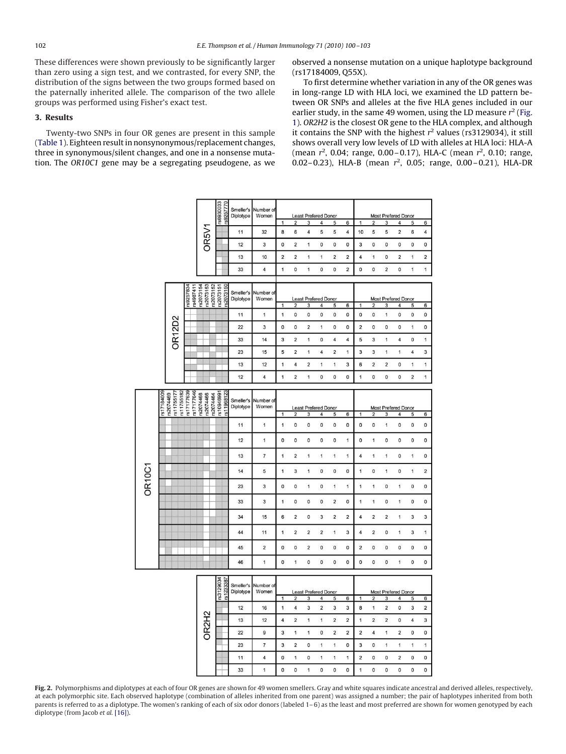<span id="page-2-0"></span>These differences were shown previously to be significantly larger than zero using a sign test, and we contrasted, for every SNP, the distribution of the signs between the two groups formed based on the paternally inherited allele. The comparison of the two allele groups was performed using Fisher's exact test.

# **3. Results**

Twenty-two SNPs in four OR genes are present in this sample [\(Table 1\)](#page-1-0). Eighteen result in nonsynonymous/replacement changes, three in synonymous/silent changes, and one in a nonsense mutation. The *OR10C1* gene may be a segregating pseudogene, as we observed a nonsense mutation on a unique haplotype background (rs17184009, Q55X).

To first determine whether variation in any of the OR genes was in long-range LD with HLA loci, we examined the LD pattern between OR SNPs and alleles at the five HLA genes included in our earlier study, in the same 49 women, using the LD measure *r* <sup>2</sup> [\(Fig.](#page-1-0) [1\)](#page-1-0). *OR2H2* is the closest OR gene to the HLA complex, and although it contains the SNP with the highest  $r^2$  values ( $rs3129034$ ), it still shows overall very low levels of LD with alleles at HLA loci: HLA-A (mean  $r^2$ , 0.04; range, 0.00–0.17), HLA-C (mean  $r^2$ , 0.10; range, 0.02– 0.23), HLA-B (mean *r* 2 , 0.05; range, 0.00 – 0.21), HLA-DR

|               |                                                     |                                     |                                                   | rs6930033                | rs9257770<br>Smeller's<br>Diplotype | Number of<br>Women |                             |                         |                         | <b>Least Prefered Donor</b> |                            |                         |                            |                         | <b>Most Prefered Donor</b> |                         |                         |                         |
|---------------|-----------------------------------------------------|-------------------------------------|---------------------------------------------------|--------------------------|-------------------------------------|--------------------|-----------------------------|-------------------------|-------------------------|-----------------------------|----------------------------|-------------------------|----------------------------|-------------------------|----------------------------|-------------------------|-------------------------|-------------------------|
|               |                                                     |                                     |                                                   |                          |                                     |                    | 1                           | $\overline{\mathbf{2}}$ | 3                       | 4                           | 5                          | 6                       | 1                          | $\overline{2}$          | 3                          | 4                       | 5                       | 6                       |
|               |                                                     |                                     | OR <sub>5</sub> V <sub>1</sub>                    |                          | 11                                  | 32                 | 8                           | 6                       | 4                       | 5                           | 5                          | 4                       | 10                         | 5                       | 5                          | $\overline{2}$          | 6                       | 4                       |
|               |                                                     |                                     |                                                   |                          | 12                                  | 3                  | $\bf{0}$                    | $\overline{\mathbf{c}}$ | 1                       | 0                           | 0                          | 0                       | 3                          | 0                       | 0                          | 0                       | 0                       | 0                       |
|               |                                                     |                                     |                                                   |                          | 13                                  | 10                 | $\overline{\mathbf{c}}$     | $\overline{\mathbf{c}}$ | 1                       | 1                           | 2                          | $\overline{\mathbf{c}}$ | 4                          | 1                       | 0                          | $\overline{\mathbf{c}}$ | 1                       | $\overline{\mathbf{c}}$ |
|               |                                                     |                                     |                                                   |                          | 33                                  | 4                  | 1                           | $\mathbf 0$             | 1                       | $\bf{0}$                    | 0                          | $\overline{c}$          | $\mathbf 0$                | 0                       | $\overline{\mathbf{c}}$    | 0                       | $\mathbf{1}$            | 1                       |
|               |                                                     |                                     |                                                   |                          |                                     |                    |                             |                         |                         |                             |                            |                         |                            |                         |                            |                         |                         |                         |
|               |                                                     | rs9257834<br>rs4987411<br>rs2073154 | s2073153<br>rs2073152                             | s2073151                 | rs2073150<br>Smeller's<br>Diplotype | Number of<br>Women | <b>Least Prefered Donor</b> |                         |                         |                             |                            |                         | <b>Most Prefered Donor</b> |                         |                            |                         |                         |                         |
|               |                                                     |                                     |                                                   |                          |                                     |                    | 1                           | $\overline{\mathbf{c}}$ | 3                       | $\overline{4}$              | 5                          | 6                       | 1                          | $\overline{\mathbf{2}}$ | 3                          | 4                       | 5                       | $\boldsymbol{6}$        |
|               |                                                     |                                     |                                                   |                          | 11                                  | 1                  | 1                           | 0                       | 0                       | $\pmb{0}$                   | 0                          | 0                       | $\mathbf 0$                | $\pmb{0}$               | $\mathbf{1}$               | 0                       | 0                       | 0                       |
|               |                                                     |                                     |                                                   |                          | 22                                  | 3                  | $\mathbf 0$                 | 0                       | 2                       | 1                           | 0                          | 0                       | 2                          | 0                       | 0                          | 0                       | 1                       | 0                       |
|               | <b>OR12D2</b>                                       |                                     |                                                   |                          | 33                                  | 14                 | 3                           | $\overline{\mathbf{c}}$ | $\mathbf{1}$            | $\mathbf{0}$                | $\overline{\mathbf{4}}$    | 4                       | 5                          | 3                       | $\mathbf{1}$               | 4                       | 0                       | 1                       |
|               |                                                     |                                     |                                                   |                          | 23                                  | 15                 | 5                           | $\mathbf 2$             | 1                       | 4                           | $\overline{\mathbf{c}}$    | 1                       | 3                          | 3                       | 1                          | 1                       | 4                       | 3                       |
|               |                                                     |                                     |                                                   |                          | 13                                  | 12                 | $\mathbf{1}$                | 4                       | $\overline{\mathbf{c}}$ | 1                           | 1                          | 3                       | 6                          | $\overline{2}$          | $\overline{\mathbf{c}}$    | 0                       | $\mathbf{1}$            | 1                       |
|               |                                                     |                                     |                                                   |                          | 12                                  | 4                  | 1                           | $\overline{\mathbf{c}}$ | 1                       | $\pmb{0}$                   | 0                          | 0                       | 1                          | 0                       | 0                          | 0                       | $\overline{\mathbf{c}}$ | 1                       |
|               |                                                     |                                     |                                                   |                          |                                     |                    |                             |                         |                         |                             |                            |                         |                            |                         |                            |                         |                         |                         |
|               | rs11755182<br>rs2074469<br>rs11755177<br>rs17184009 | rs17177639                          | rs17177646<br>rs2074468<br>rs2074466<br>rs2074464 | rs10946991<br>rs11968123 | Smeller's                           | Number of          |                             |                         |                         |                             |                            |                         |                            |                         |                            |                         |                         |                         |
|               |                                                     |                                     |                                                   |                          | Diplotype                           | Women              |                             |                         |                         | <b>Least Prefered Donor</b> |                            |                         |                            |                         | Most Prefered Donor        |                         |                         |                         |
|               |                                                     |                                     |                                                   |                          |                                     |                    | 1                           | $\overline{\mathbf{c}}$ | 3                       | 4                           | 5                          | 6                       | 1                          | $\overline{\mathbf{c}}$ | 3                          | 4                       | 5                       | 6                       |
|               |                                                     |                                     |                                                   |                          | 11                                  | 1                  | 1                           | 0                       | $\mathbf{0}$            | $\pmb{0}$                   | 0                          | O                       | $\mathbf 0$                | $\mathbf 0$             | $\mathbf{1}$               | $\overline{0}$          | $\mathbf 0$             | 0                       |
|               |                                                     |                                     |                                                   |                          | 12                                  | 1                  | 0                           | 0                       | 0                       | $\pmb{0}$                   | $\pmb{0}$                  | 1                       | 0                          | 1                       | 0                          | 0                       | 0                       | 0                       |
|               |                                                     |                                     |                                                   |                          | 13                                  | 7                  | 1                           | $\mathbf 2$             | 1                       | 1                           | 1                          | 1                       | 4                          | 1                       | 1                          | 0                       | 1                       | 0                       |
|               |                                                     |                                     |                                                   |                          | 14                                  | 5                  | 1                           | 3                       | 1                       | $\mathbf 0$                 | $\pmb{0}$                  | $\overline{0}$          | 1                          | $\bf 0$                 | $\mathbf{1}$               | $\mathbf 0$             | 1                       | $\overline{c}$          |
| <b>OR10C1</b> |                                                     |                                     |                                                   |                          | 23                                  | 3                  | 0                           | 0                       | 1                       | 0                           | 1                          | 1                       | 1                          | 1                       | 0                          | 1                       | 0                       | 0                       |
|               |                                                     |                                     |                                                   |                          |                                     |                    |                             |                         |                         |                             |                            |                         |                            |                         |                            |                         |                         |                         |
|               |                                                     |                                     |                                                   |                          | 33                                  | 3                  | $\mathbf{1}$                | 0                       | 0                       | $\bf{0}$                    | $\overline{2}$             | 0                       | 1                          | $\mathbf{1}$            | $\mathbf 0$                | $\mathbf{1}$            | 0                       | $\pmb{0}$               |
|               |                                                     |                                     |                                                   |                          | 34                                  | 15                 | 6                           | $\overline{\mathbf{c}}$ | 0                       | 3                           | $\overline{\mathbf{c}}$    | $\overline{\mathbf{c}}$ | 4                          | 2                       | $\overline{\mathbf{c}}$    | 1                       | 3                       | 3                       |
|               |                                                     |                                     |                                                   |                          | 44                                  | 11                 | 1                           | $\overline{\mathbf{c}}$ | $\overline{\mathbf{c}}$ | $\overline{\mathbf{2}}$     | 1                          | 3                       | 4                          | $\overline{\mathbf{c}}$ | 0                          | 1                       | 3                       | 1                       |
|               |                                                     |                                     |                                                   |                          | 45                                  | $\overline{c}$     | $\bf{0}$                    | 0                       | $\overline{2}$          | $\bf{0}$                    | $\bf{0}$                   | $\bf{0}$                | $\overline{2}$             | $\bf{0}$                | 0                          | 0                       | $\mathbf 0$             | $\mathbf 0$             |
|               |                                                     |                                     |                                                   |                          | 46                                  | $\overline{1}$     | $\bf{0}$                    | 1                       | 0                       | $\bf{0}$                    | 0                          | O                       | $\mathbf 0$                | $\bf{0}$                | 0                          | 1                       | $\mathbf 0$             | $\pmb{0}$               |
|               |                                                     |                                     |                                                   |                          |                                     |                    |                             |                         |                         |                             |                            |                         |                            |                         |                            |                         |                         |                         |
|               |                                                     |                                     |                                                   |                          | Smeller's                           | Number of          |                             |                         |                         |                             |                            |                         |                            |                         |                            |                         |                         |                         |
|               |                                                     |                                     |                                                   | 1862258181<br>1862123    | Diplotype                           | Women              | <b>Least Prefered Donor</b> |                         |                         |                             | <b>Most Prefered Donor</b> |                         |                            |                         |                            |                         |                         |                         |
|               |                                                     |                                     |                                                   |                          |                                     |                    | 1                           | $\overline{\mathbf{c}}$ | 3                       | 4                           | 5                          | 6                       | 1                          | $\overline{\mathbf{c}}$ | 3                          | 4                       | 5                       | 6                       |
|               |                                                     | OR2H2                               |                                                   |                          | 12                                  | 16                 | 1                           | 4                       | 3                       | $\overline{\mathbf{c}}$     | 3                          | 3                       | 8                          | 1                       | $\overline{\mathbf{c}}$    | 0                       | 3                       | $\overline{\mathbf{c}}$ |
|               |                                                     |                                     |                                                   |                          | 13                                  | 12                 | $\overline{4}$              | $\overline{c}$          | $\mathbf{1}$            | $\ddot{\phantom{1}}$        | $\overline{\mathbf{2}}$    | $\overline{2}$          | 1                          | $\overline{\mathbf{c}}$ | $\overline{2}$             | $\bf{0}$                | $\overline{4}$          | 3                       |
|               |                                                     |                                     |                                                   |                          | 22                                  | 9                  | 3                           | $\mathbf{1}$            | $\overline{\mathbf{1}}$ | $\mathbf 0$                 | $\overline{2}$             | $\overline{c}$          | $\overline{2}$             | $\overline{4}$          | 1                          | $\overline{2}$          | $\mathbf 0$             | $\mathbf{0}$            |
|               |                                                     |                                     |                                                   |                          | 23                                  | 7                  | 3                           | $\overline{\mathbf{2}}$ | 0                       | 1                           | 1                          | 0                       | 3                          | 0                       | 1                          | 1                       | $\mathbf{1}$            | 1                       |
|               |                                                     |                                     |                                                   |                          | 11                                  | 4                  | 0                           | 1                       | 0                       | 1                           | 1                          | $\mathbf{1}$            | $\overline{c}$             | 0                       | 0                          | $\overline{c}$          | 0                       | 0                       |
|               |                                                     |                                     |                                                   |                          | 33                                  | 1                  | $\mathbf 0$                 | $\mathbf 0$             | 1                       | $\pmb{0}$                   | 0                          | 0                       | 1                          | 0                       | 0                          | $\mathbf 0$             | 0                       | 0                       |

**Fig. 2.** Polymorphisms and diplotypes at each of four OR genes are shown for 49 women smellers. Gray and white squares indicate ancestral and derived alleles, respectively, at each polymorphic site. Each observed haplotype (combination of alleles inherited from one parent) was assigned a number; the pair of haplotypes inherited from both parents is referred to as a diplotype. The women's ranking of each of six odor donors (labeled 1– 6) as the least and most preferred are shown for women genotyped by each diplotype (from Jacob *et al.* [\[16\]\)](#page-3-0).